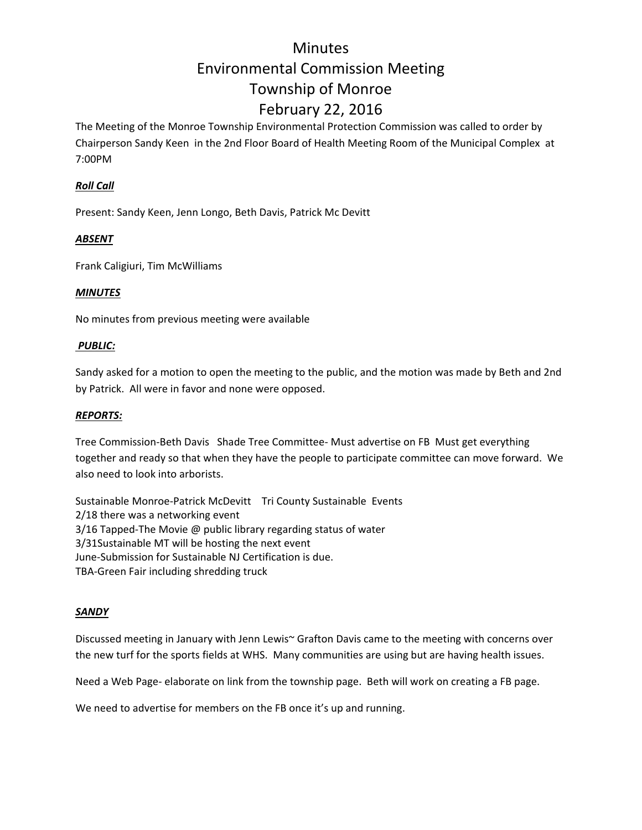# **Minutes** Environmental Commission Meeting Township of Monroe February 22, 2016

The Meeting of the Monroe Township Environmental Protection Commission was called to order by Chairperson Sandy Keen in the 2nd Floor Board of Health Meeting Room of the Municipal Complex at 7:00PM

## *Roll Call*

Present: Sandy Keen, Jenn Longo, Beth Davis, Patrick Mc Devitt

# *ABSENT*

Frank Caligiuri, Tim McWilliams

### *MINUTES*

No minutes from previous meeting were available

### *PUBLIC:*

Sandy asked for a motion to open the meeting to the public, and the motion was made by Beth and 2nd by Patrick. All were in favor and none were opposed.

### *REPORTS:*

Tree Commission‐Beth Davis Shade Tree Committee‐ Must advertise on FB Must get everything together and ready so that when they have the people to participate committee can move forward. We also need to look into arborists.

Sustainable Monroe‐Patrick McDevitt Tri County Sustainable Events 2/18 there was a networking event 3/16 Tapped-The Movie @ public library regarding status of water 3/31Sustainable MT will be hosting the next event June‐Submission for Sustainable NJ Certification is due. TBA‐Green Fair including shredding truck

### *SANDY*

Discussed meeting in January with Jenn Lewis~ Grafton Davis came to the meeting with concerns over the new turf for the sports fields at WHS. Many communities are using but are having health issues.

Need a Web Page‐ elaborate on link from the township page. Beth will work on creating a FB page.

We need to advertise for members on the FB once it's up and running.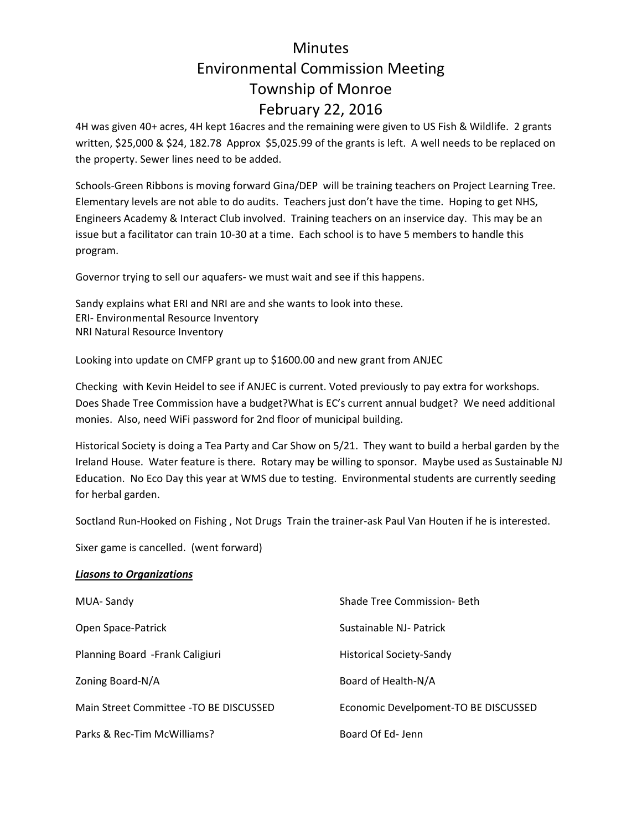# **Minutes** Environmental Commission Meeting Township of Monroe February 22, 2016

4H was given 40+ acres, 4H kept 16acres and the remaining were given to US Fish & Wildlife. 2 grants written, \$25,000 & \$24, 182.78 Approx \$5,025.99 of the grants is left. A well needs to be replaced on the property. Sewer lines need to be added.

Schools‐Green Ribbons is moving forward Gina/DEP will be training teachers on Project Learning Tree. Elementary levels are not able to do audits. Teachers just don't have the time. Hoping to get NHS, Engineers Academy & Interact Club involved. Training teachers on an inservice day. This may be an issue but a facilitator can train 10‐30 at a time. Each school is to have 5 members to handle this program.

Governor trying to sell our aquafers‐ we must wait and see if this happens.

Sandy explains what ERI and NRI are and she wants to look into these. ERI‐ Environmental Resource Inventory NRI Natural Resource Inventory

Looking into update on CMFP grant up to \$1600.00 and new grant from ANJEC

Checking with Kevin Heidel to see if ANJEC is current. Voted previously to pay extra for workshops. Does Shade Tree Commission have a budget?What is EC's current annual budget? We need additional monies. Also, need WiFi password for 2nd floor of municipal building.

Historical Society is doing a Tea Party and Car Show on 5/21. They want to build a herbal garden by the Ireland House. Water feature is there. Rotary may be willing to sponsor. Maybe used as Sustainable NJ Education. No Eco Day this year at WMS due to testing. Environmental students are currently seeding for herbal garden.

Soctland Run‐Hooked on Fishing , Not Drugs Train the trainer‐ask Paul Van Houten if he is interested.

Sixer game is cancelled. (went forward)

#### *Liasons to Organizations*

| MUA-Sandy                               | <b>Shade Tree Commission-Beth</b>    |
|-----------------------------------------|--------------------------------------|
| Open Space-Patrick                      | Sustainable NJ- Patrick              |
| Planning Board - Frank Caligiuri        | <b>Historical Society-Sandy</b>      |
| Zoning Board-N/A                        | Board of Health-N/A                  |
| Main Street Committee - TO BE DISCUSSED | Economic Develpoment-TO BE DISCUSSED |
| Parks & Rec-Tim McWilliams?             | Board Of Ed-Jenn                     |